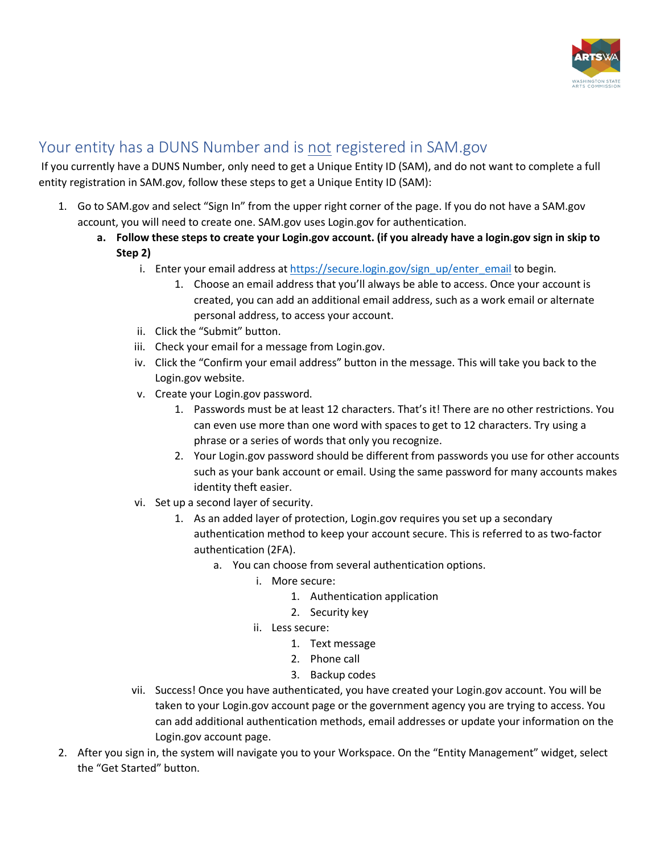

## Your entity has a DUNS Number and is not registered in SAM.gov

If you currently have a DUNS Number, only need to get a Unique Entity ID (SAM), and do not want to complete a full entity registration in SAM.gov, follow these steps to get a Unique Entity ID (SAM):

- 1. Go to SAM.gov and select "Sign In" from the upper right corner of the page. If you do not have a SAM.gov account, you will need to create one. SAM.gov uses Login.gov for authentication.
	- **a. Follow these steps to create your Login.gov account. (if you already have a login.gov sign in skip to Step 2)**
		- i. Enter your email address at [https://secure.login.gov/sign\\_up/enter\\_email](https://secure.login.gov/sign_up/enter_email) to begin.
			- 1. Choose an email address that you'll always be able to access. Once your account is created, you can add an additional email address, such as a work email or alternate personal address, to access your account.
		- ii. Click the "Submit" button.
		- iii. Check your email for a message from Login.gov.
		- iv. Click the "Confirm your email address" button in the message. This will take you back to the Login.gov website.
		- v. Create your Login.gov password.
			- 1. Passwords must be at least 12 characters. That's it! There are no other restrictions. You can even use more than one word with spaces to get to 12 characters. Try using a phrase or a series of words that only you recognize.
			- 2. Your Login.gov password should be different from passwords you use for other accounts such as your bank account or email. Using the same password for many accounts makes identity theft easier.
		- vi. Set up a second layer of security.
			- 1. As an added layer of protection, Login.gov requires you set up a secondary authentication method to keep your account secure. This is referred to as two-factor authentication (2FA).
				- a. You can choose from several authentication options.
					- i. More secure:
						- 1. Authentication application
						- 2. Security key
					- ii. Less secure:
						- 1. Text message
						- 2. Phone call
						- 3. Backup codes
		- vii. Success! Once you have authenticated, you have created your Login.gov account. You will be taken to your Login.gov account page or the government agency you are trying to access. You can add additional authentication methods, email addresses or update your information on the Login.gov account page.
- 2. After you sign in, the system will navigate you to your Workspace. On the "Entity Management" widget, select the "Get Started" button.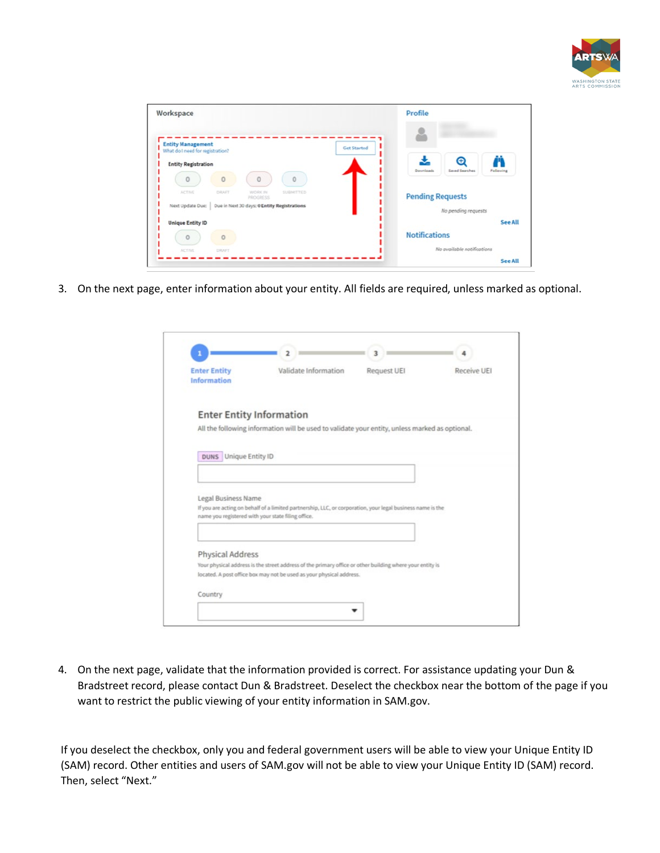

| Workspace                                                       | Profile                                  |
|-----------------------------------------------------------------|------------------------------------------|
| <b>Entity Management</b><br>What do I need for registration?    | <b>Get Started</b>                       |
| <b>Entity Registration</b>                                      | Θ                                        |
| $\circ$<br>$\circ$<br>$\circ$<br>$\Omega$                       | Downloads<br>Following<br>Saved Searches |
| <b>ACTIVE</b><br>DRAFT<br>SUBMITTED<br>WORK IN<br>PROGRESS      | <b>Pending Requests</b>                  |
| Due in Next 30 days: 0 Entity Registrations<br>Next Update Due: | No pending requests                      |
| <b>Unique Entity ID</b>                                         | <b>See All</b>                           |
| $\circ$<br>$\Omega$                                             | <b>Notifications</b>                     |
| <b>ACTIVE</b><br>DRAFT                                          | No available notifications               |
|                                                                 | <b>See All</b>                           |

3. On the next page, enter information about your entity. All fields are required, unless marked as optional.

| <b>Enter Entity</b><br><b>Information</b> | Validate Information                                                                                       | <b>Request UEI</b> | Receive UEI |
|-------------------------------------------|------------------------------------------------------------------------------------------------------------|--------------------|-------------|
| <b>Enter Entity Information</b>           |                                                                                                            |                    |             |
|                                           |                                                                                                            |                    |             |
|                                           | All the following information will be used to validate your entity, unless marked as optional.             |                    |             |
|                                           |                                                                                                            |                    |             |
| <b>DUNS</b> Unique Entity ID              |                                                                                                            |                    |             |
|                                           |                                                                                                            |                    |             |
|                                           |                                                                                                            |                    |             |
|                                           |                                                                                                            |                    |             |
|                                           |                                                                                                            |                    |             |
|                                           |                                                                                                            |                    |             |
| Legal Business Name                       |                                                                                                            |                    |             |
|                                           | If you are acting on behalf of a limited partnership, LLC, or corporation, your legal business name is the |                    |             |
|                                           | name you registered with your state filing office.                                                         |                    |             |
|                                           |                                                                                                            |                    |             |
|                                           |                                                                                                            |                    |             |
| Physical Address                          |                                                                                                            |                    |             |
|                                           | Your physical address is the street address of the primary office or other building where your entity is   |                    |             |
|                                           | located. A post office box may not be used as your physical address.                                       |                    |             |
|                                           |                                                                                                            |                    |             |

4. On the next page, validate that the information provided is correct. For assistance updating your Dun & Bradstreet record, please contact Dun & Bradstreet. Deselect the checkbox near the bottom of the page if you want to restrict the public viewing of your entity information in SAM.gov.

If you deselect the checkbox, only you and federal government users will be able to view your Unique Entity ID (SAM) record. Other entities and users of SAM.gov will not be able to view your Unique Entity ID (SAM) record. Then, select "Next."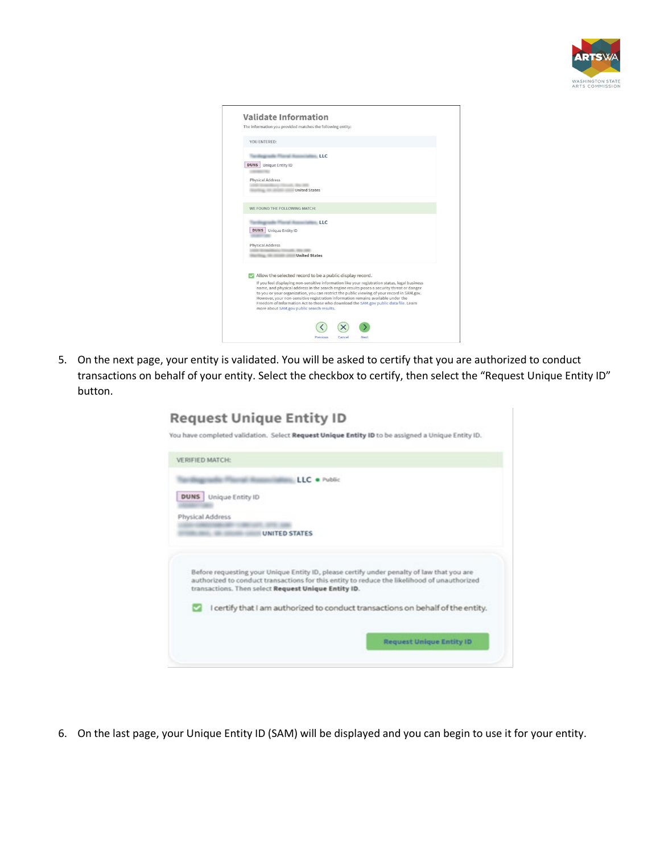

| YOU ENTERED:                    |                                                                                                                                                                                                                                                                                                                                                                                                                                                                                                                      |
|---------------------------------|----------------------------------------------------------------------------------------------------------------------------------------------------------------------------------------------------------------------------------------------------------------------------------------------------------------------------------------------------------------------------------------------------------------------------------------------------------------------------------------------------------------------|
|                                 | LLC                                                                                                                                                                                                                                                                                                                                                                                                                                                                                                                  |
| <b>DUNS</b><br>Unique Entity ID |                                                                                                                                                                                                                                                                                                                                                                                                                                                                                                                      |
| Physical Address                |                                                                                                                                                                                                                                                                                                                                                                                                                                                                                                                      |
|                                 | <b>United States</b>                                                                                                                                                                                                                                                                                                                                                                                                                                                                                                 |
|                                 |                                                                                                                                                                                                                                                                                                                                                                                                                                                                                                                      |
| WE FOUND THE FOLLOWING MATCH:   |                                                                                                                                                                                                                                                                                                                                                                                                                                                                                                                      |
|                                 | <b>LLC</b>                                                                                                                                                                                                                                                                                                                                                                                                                                                                                                           |
| <b>DUNS</b> Unique Entity ID    |                                                                                                                                                                                                                                                                                                                                                                                                                                                                                                                      |
| Physical Address                |                                                                                                                                                                                                                                                                                                                                                                                                                                                                                                                      |
|                                 | <b>United States</b>                                                                                                                                                                                                                                                                                                                                                                                                                                                                                                 |
|                                 |                                                                                                                                                                                                                                                                                                                                                                                                                                                                                                                      |
|                                 | Allow the selected record to be a public display record.                                                                                                                                                                                                                                                                                                                                                                                                                                                             |
|                                 | If you feel displaying non-sensitive information like your registration status, legal business<br>name, and physical address in the search engine results poses a security threat or danger<br>to you or your organization, you can restrict the public viewing of your record in SAM.gov.<br>However, your non-sensitive registration information remains available under the<br>Freedom of Information Act to those who download the SAM, gov public data file, Learn<br>more about SAM.gov public search results. |

5. On the next page, your entity is validated. You will be asked to certify that you are authorized to conduct transactions on behalf of your entity. Select the checkbox to certify, then select the "Request Unique Entity ID" button.

| <b>VERIFIED MATCH:</b> |                                                                                                                                                                                                                                                 |
|------------------------|-------------------------------------------------------------------------------------------------------------------------------------------------------------------------------------------------------------------------------------------------|
|                        | LLC . Public                                                                                                                                                                                                                                    |
| <b>DUNS</b>            | Unique Entity ID                                                                                                                                                                                                                                |
|                        |                                                                                                                                                                                                                                                 |
| Physical Address       |                                                                                                                                                                                                                                                 |
|                        | UNITED STATES                                                                                                                                                                                                                                   |
|                        |                                                                                                                                                                                                                                                 |
|                        | Before requesting your Unique Entity ID, please certify under penalty of law that you are<br>authorized to conduct transactions for this entity to reduce the likelihood of unauthorized<br>transactions. Then select Request Unique Entity ID. |
|                        | I certify that I am authorized to conduct transactions on behalf of the entity.                                                                                                                                                                 |
|                        |                                                                                                                                                                                                                                                 |

6. On the last page, your Unique Entity ID (SAM) will be displayed and you can begin to use it for your entity.